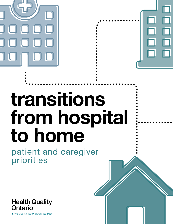

# **transitions from hospital to home**

patient and caregiver priorities



Let's make our health system healthier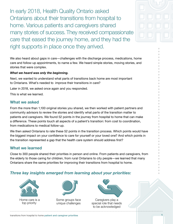In early 2018, Health Quality Ontario asked Ontarians about their transitions from hospital to home. Various patients and caregivers shared many stories of success. They received compassionate care that eased the journey home, and they had the right supports in place once they arrived.

We also heard about gaps in care—challenges with the discharge process, medications, home care and follow-up appointments, to name a few. We heard simple stories, moving stories, and stories that were complex.

#### *What we heard was only the beginning.*

Next, we wanted to understand what parts of transitions back home are most important to Ontarians. What's needed to improve their transitions in care?

Later in 2018, we asked once again and you responded.

This is what we learned.

#### **What we asked**

From the more than 1,100 original stories you shared, we then worked with patient partners and community advisors to review the stories and identify what parts of the transition matter to patients and caregivers. We found 52 points in the journey from hospital to home that can make a difference. These points touch all aspects of a patient's transition: from cost to coordination, from medications to medical follow-up.

We then asked Ontarians to rate these 52 points in the transition process. Which points would have the biggest impact on your confidence to care for yourself or your loved one? And which points in the transition represented a gap that the health care system should address first?

#### **What we learned**

Close to 300 people shared their priorities in person and online. From patients and caregivers, from the elderly to those caring for children, from rural Ontarians to city people—we learned that many Ontarians share the same priorities for improving their transitions from hospital to home.

#### *Three key insights emerged from learning about your priorities:*



 Home care is a top priority



Some groups face unique challenges



Caregivers play a special role that needs to be acknowledged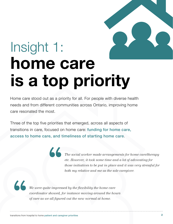# Insight 1: **home care is a top priority**

Home care stood out as a priority for all. For people with diverse health needs and from different communities across Ontario, improving home care resonated the most.

Three of the top five priorities that emerged, across all aspects of transitions in care, focused on home care: funding for home care, access to home care, and timeliness of starting home care.

> *The social worker made arrangements for home care/therapy etc. However, it took some time and a lot of advocating for those initiatives to be put in place and it was very stressful for both my relative and me as the sole caregiver.*

*We were quite impressed by the flexibility the home care coordinator showed, for instance moving around the hours of care as we all figured out the new normal at home.*

66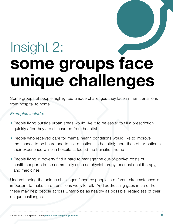## Insight 2: **some groups face unique challenges**

Some groups of people highlighted unique challenges they face in their transitions from hospital to home.

#### *Examples include:*

- People living outside urban areas would like it to be easier to fill a prescription quickly after they are discharged from hospital
- People who received care for mental health conditions would like to improve the chance to be heard and to ask questions in hospital; more than other patients, their experience while in hospital affected the transition home
- People living in poverty find it hard to manage the out-of-pocket costs of health supports in the community such as physiotherapy, occupational therapy, and medicines

Understanding the unique challenges faced by people in different circumstances is important to make sure transitions work for all. And addressing gaps in care like these may help people across Ontario be as healthy as possible, regardless of their unique challenges.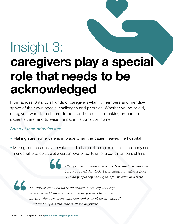## Insight 3: **caregivers play a special role that needs to be acknowledged**

From across Ontario, all kinds of caregivers—family members and friends spoke of their own special challenges and priorities. Whether young or old, caregivers want to be heard, to be a part of decision-making around the patient's care, and to ease the patient's transition home.

#### *Some of their priorities are:*

- Making sure home care is in place when the patient leaves the hospital
- Making sure hospital staff involved in discharge planning do not assume family and friends will provide care at a certain level of ability or for a certain amount of time

*After providing support and meds to my husband every 4 hours round the clock, I was exhausted after 3 Days. How do people cope doing this for months at a time?*

*The doctor included us in all decision making and steps. When I asked him what he would do if it was his father, he said "the exact same that you and your sister are doing". Kind and empathetic. Makes all the difference.*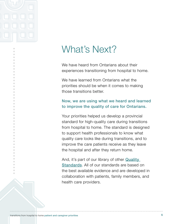$\bigcirc$  $\bullet$ 

 $\Box$  $\bigcirc$  $\triangle$  $\Box$  $\bigcirc$ 

 $\begin{array}{ccc} \bullet & \bullet & \bullet \\ \bullet & \bullet & \bullet \end{array}$  $\begin{array}{ccc} \bullet & \bullet & \bullet \\ \bullet & \bullet & \bullet \end{array}$  $\qquad \qquad \Box$  $\begin{array}{ccc} \bullet & \bullet & \bullet \\ \bullet & \bullet & \bullet \end{array}$  $\begin{array}{c} \begin{array}{c} \begin{array}{c} \begin{array}{c} \end{array} \end{array} \end{array} \end{array} \end{array}$  $\begin{array}{c} \hline \end{array}$  $\begin{array}{c} \bullet \\ \bullet \end{array}$  $\bullet$  $\bullet$  $\begin{array}{ccc} \bullet & \bullet & \bullet \\ \bullet & \bullet & \bullet \end{array}$  $\begin{array}{ccc} \bullet & \bullet & \bullet \\ \bullet & \bullet & \bullet \end{array}$  $\begin{array}{c} \begin{array}{c} \begin{array}{c} \begin{array}{c} \end{array} \end{array} \end{array} \end{array} \end{array}$  $\begin{array}{c} \begin{array}{c} \begin{array}{c} \begin{array}{c} \end{array} \end{array} \end{array} \end{array} \end{array}$  $\bullet$ 

 $\triangle$  $\Box$  $\triangle$  $\blacksquare$  $\bullet$  $\bullet$  $\bullet$ 

## What's Next?

We have heard from Ontarians about their experiences transitioning from hospital to home.

We have learned from Ontarians what the priorities should be when it comes to making those transitions better.

#### Now, we are using what we heard and learned to improve the quality of care for Ontarians.

Your priorities helped us develop a provincial standard for high-quality care during transitions from hospital to home. The standard is designed to support health professionals to know what quality care looks like during transitions, and to improve the care patients receive as they leave the hospital and after they return home.

And, it's part of our library of other **Quality** [Standards](https://www.hqontario.ca/Evidence-to-Improve-Care/Quality-Standards/View-all-Quality-Standards). All of our standards are based on the best available evidence and are developed in collaboration with patients, family members, and health care providers.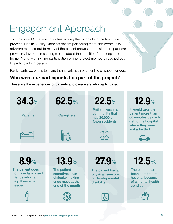## Engagement Approach

To understand Ontarians' priorities among the 52 points in the transition process, Health Quality Ontario's patient partnering team and community advisors reached out to many of the patient groups and health care partners previously involved in sharing stories about the transition from hospital to home. Along with inviting participation online, project members reached out to participants in person.

Participants were able to share their priorities through online or paper surveys.

### **Who were our participants this part of the project?**

These are the experiences of patients and caregivers who participated: